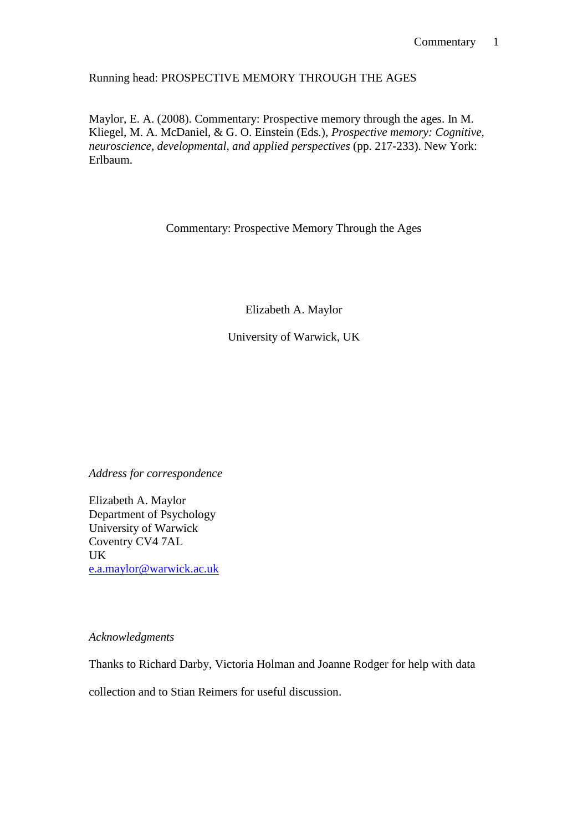# Running head: PROSPECTIVE MEMORY THROUGH THE AGES

Maylor, E. A. (2008). Commentary: Prospective memory through the ages. In M. Kliegel, M. A. McDaniel, & G. O. Einstein (Eds.), *Prospective memory: Cognitive, neuroscience, developmental, and applied perspectives* (pp. 217-233). New York: Erlbaum.

Commentary: Prospective Memory Through the Ages

Elizabeth A. Maylor

University of Warwick, UK

*Address for correspondence*

Elizabeth A. Maylor Department of Psychology University of Warwick Coventry CV4 7AL UK [e.a.maylor@warwick.ac.uk](mailto:e.a.maylor@warwick.ac.uk)

# *Acknowledgments*

Thanks to Richard Darby, Victoria Holman and Joanne Rodger for help with data

collection and to Stian Reimers for useful discussion.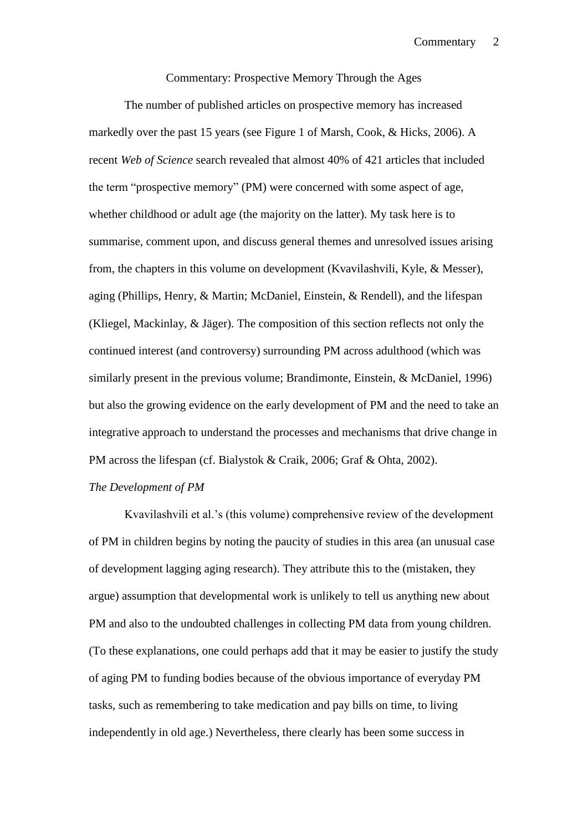Commentary: Prospective Memory Through the Ages

The number of published articles on prospective memory has increased markedly over the past 15 years (see Figure 1 of Marsh, Cook, & Hicks, 2006). A recent *Web of Science* search revealed that almost 40% of 421 articles that included the term "prospective memory" (PM) were concerned with some aspect of age, whether childhood or adult age (the majority on the latter). My task here is to summarise, comment upon, and discuss general themes and unresolved issues arising from, the chapters in this volume on development (Kvavilashvili, Kyle, & Messer), aging (Phillips, Henry, & Martin; McDaniel, Einstein, & Rendell), and the lifespan (Kliegel, Mackinlay, & Jäger). The composition of this section reflects not only the continued interest (and controversy) surrounding PM across adulthood (which was similarly present in the previous volume; Brandimonte, Einstein, & McDaniel, 1996) but also the growing evidence on the early development of PM and the need to take an integrative approach to understand the processes and mechanisms that drive change in PM across the lifespan (cf. Bialystok & Craik, 2006; Graf & Ohta, 2002).

## *The Development of PM*

Kvavilashvili et al."s (this volume) comprehensive review of the development of PM in children begins by noting the paucity of studies in this area (an unusual case of development lagging aging research). They attribute this to the (mistaken, they argue) assumption that developmental work is unlikely to tell us anything new about PM and also to the undoubted challenges in collecting PM data from young children. (To these explanations, one could perhaps add that it may be easier to justify the study of aging PM to funding bodies because of the obvious importance of everyday PM tasks, such as remembering to take medication and pay bills on time, to living independently in old age.) Nevertheless, there clearly has been some success in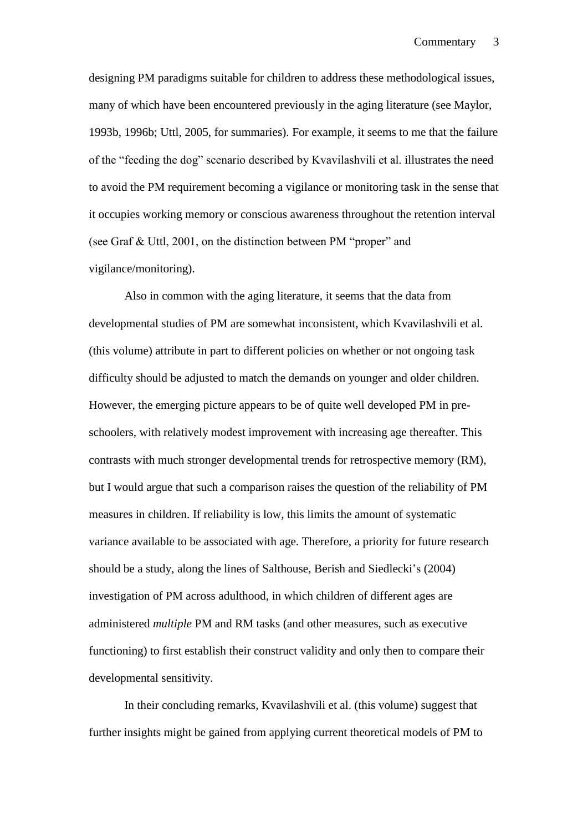designing PM paradigms suitable for children to address these methodological issues, many of which have been encountered previously in the aging literature (see Maylor, 1993b, 1996b; Uttl, 2005, for summaries). For example, it seems to me that the failure of the "feeding the dog" scenario described by Kvavilashvili et al. illustrates the need to avoid the PM requirement becoming a vigilance or monitoring task in the sense that it occupies working memory or conscious awareness throughout the retention interval (see Graf & Uttl, 2001, on the distinction between PM "proper" and vigilance/monitoring).

Also in common with the aging literature, it seems that the data from developmental studies of PM are somewhat inconsistent, which Kvavilashvili et al. (this volume) attribute in part to different policies on whether or not ongoing task difficulty should be adjusted to match the demands on younger and older children. However, the emerging picture appears to be of quite well developed PM in preschoolers, with relatively modest improvement with increasing age thereafter. This contrasts with much stronger developmental trends for retrospective memory (RM), but I would argue that such a comparison raises the question of the reliability of PM measures in children. If reliability is low, this limits the amount of systematic variance available to be associated with age. Therefore, a priority for future research should be a study, along the lines of Salthouse, Berish and Siedlecki's (2004) investigation of PM across adulthood, in which children of different ages are administered *multiple* PM and RM tasks (and other measures, such as executive functioning) to first establish their construct validity and only then to compare their developmental sensitivity.

In their concluding remarks, Kvavilashvili et al. (this volume) suggest that further insights might be gained from applying current theoretical models of PM to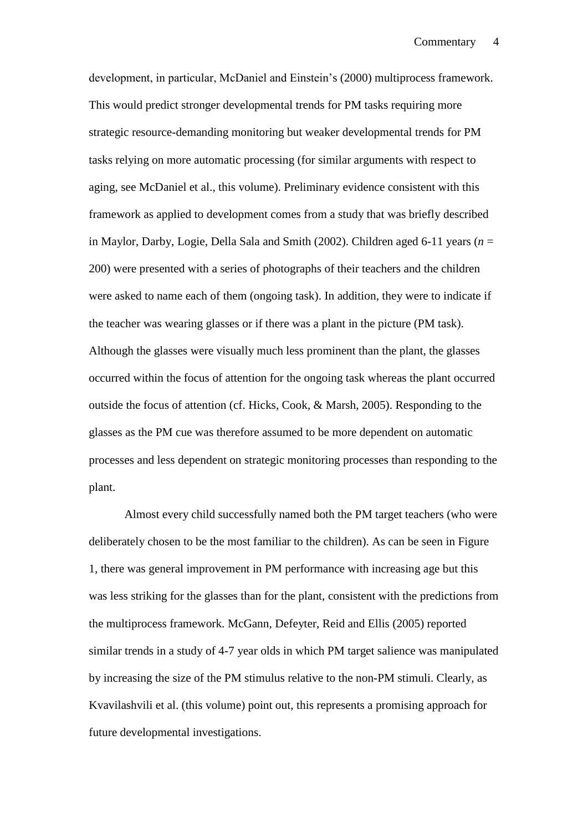development, in particular, McDaniel and Einstein"s (2000) multiprocess framework. This would predict stronger developmental trends for PM tasks requiring more strategic resource-demanding monitoring but weaker developmental trends for PM tasks relying on more automatic processing (for similar arguments with respect to aging, see McDaniel et al., this volume). Preliminary evidence consistent with this framework as applied to development comes from a study that was briefly described in Maylor, Darby, Logie, Della Sala and Smith (2002). Children aged 6-11 years (*n* = 200) were presented with a series of photographs of their teachers and the children were asked to name each of them (ongoing task). In addition, they were to indicate if the teacher was wearing glasses or if there was a plant in the picture (PM task). Although the glasses were visually much less prominent than the plant, the glasses occurred within the focus of attention for the ongoing task whereas the plant occurred outside the focus of attention (cf. Hicks, Cook, & Marsh, 2005). Responding to the glasses as the PM cue was therefore assumed to be more dependent on automatic processes and less dependent on strategic monitoring processes than responding to the plant.

Almost every child successfully named both the PM target teachers (who were deliberately chosen to be the most familiar to the children). As can be seen in Figure 1, there was general improvement in PM performance with increasing age but this was less striking for the glasses than for the plant, consistent with the predictions from the multiprocess framework. McGann, Defeyter, Reid and Ellis (2005) reported similar trends in a study of 4-7 year olds in which PM target salience was manipulated by increasing the size of the PM stimulus relative to the non-PM stimuli. Clearly, as Kvavilashvili et al. (this volume) point out, this represents a promising approach for future developmental investigations.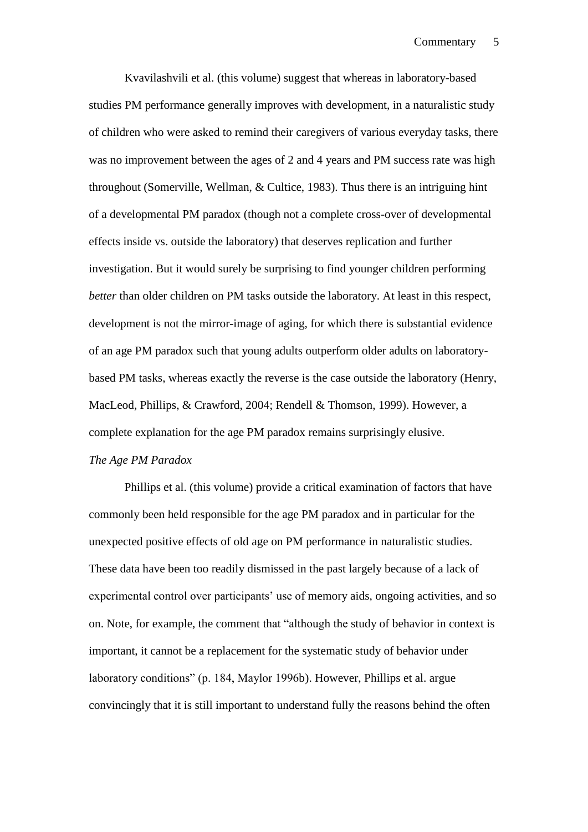Kvavilashvili et al. (this volume) suggest that whereas in laboratory-based studies PM performance generally improves with development, in a naturalistic study of children who were asked to remind their caregivers of various everyday tasks, there was no improvement between the ages of 2 and 4 years and PM success rate was high throughout (Somerville, Wellman, & Cultice, 1983). Thus there is an intriguing hint of a developmental PM paradox (though not a complete cross-over of developmental effects inside vs. outside the laboratory) that deserves replication and further investigation. But it would surely be surprising to find younger children performing *better* than older children on PM tasks outside the laboratory. At least in this respect, development is not the mirror-image of aging, for which there is substantial evidence of an age PM paradox such that young adults outperform older adults on laboratorybased PM tasks, whereas exactly the reverse is the case outside the laboratory (Henry, MacLeod, Phillips, & Crawford, 2004; Rendell & Thomson, 1999). However, a complete explanation for the age PM paradox remains surprisingly elusive.

# *The Age PM Paradox*

Phillips et al. (this volume) provide a critical examination of factors that have commonly been held responsible for the age PM paradox and in particular for the unexpected positive effects of old age on PM performance in naturalistic studies. These data have been too readily dismissed in the past largely because of a lack of experimental control over participants' use of memory aids, ongoing activities, and so on. Note, for example, the comment that "although the study of behavior in context is important, it cannot be a replacement for the systematic study of behavior under laboratory conditions" (p. 184, Maylor 1996b). However, Phillips et al. argue convincingly that it is still important to understand fully the reasons behind the often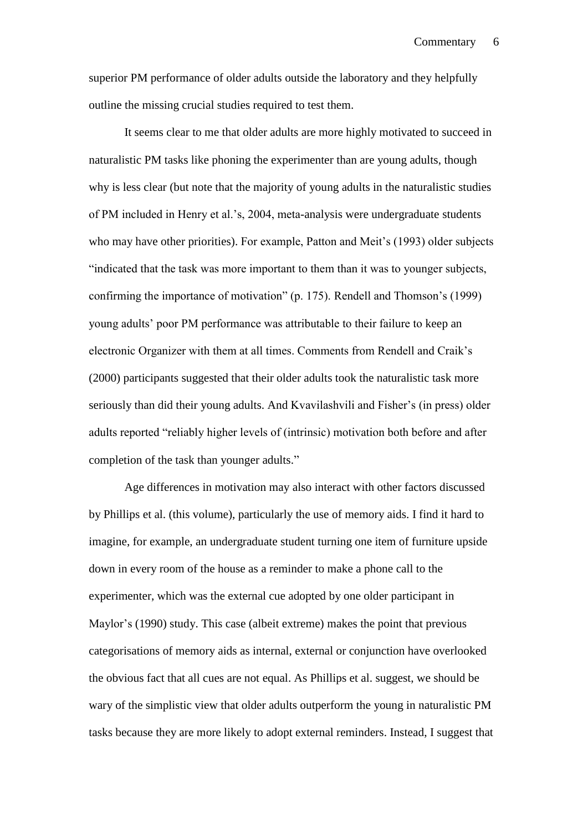superior PM performance of older adults outside the laboratory and they helpfully outline the missing crucial studies required to test them.

It seems clear to me that older adults are more highly motivated to succeed in naturalistic PM tasks like phoning the experimenter than are young adults, though why is less clear (but note that the majority of young adults in the naturalistic studies of PM included in Henry et al."s, 2004, meta-analysis were undergraduate students who may have other priorities). For example, Patton and Meit's (1993) older subjects "indicated that the task was more important to them than it was to younger subjects, confirming the importance of motivation" (p. 175). Rendell and Thomson"s (1999) young adults" poor PM performance was attributable to their failure to keep an electronic Organizer with them at all times. Comments from Rendell and Craik"s (2000) participants suggested that their older adults took the naturalistic task more seriously than did their young adults. And Kvavilashvili and Fisher"s (in press) older adults reported "reliably higher levels of (intrinsic) motivation both before and after completion of the task than younger adults."

Age differences in motivation may also interact with other factors discussed by Phillips et al. (this volume), particularly the use of memory aids. I find it hard to imagine, for example, an undergraduate student turning one item of furniture upside down in every room of the house as a reminder to make a phone call to the experimenter, which was the external cue adopted by one older participant in Maylor's (1990) study. This case (albeit extreme) makes the point that previous categorisations of memory aids as internal, external or conjunction have overlooked the obvious fact that all cues are not equal. As Phillips et al. suggest, we should be wary of the simplistic view that older adults outperform the young in naturalistic PM tasks because they are more likely to adopt external reminders. Instead, I suggest that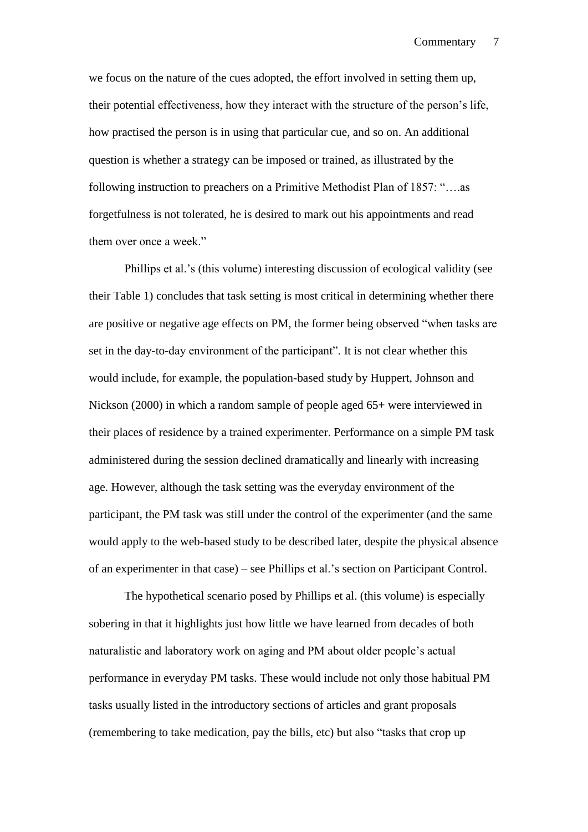we focus on the nature of the cues adopted, the effort involved in setting them up, their potential effectiveness, how they interact with the structure of the person"s life, how practised the person is in using that particular cue, and so on. An additional question is whether a strategy can be imposed or trained, as illustrated by the following instruction to preachers on a Primitive Methodist Plan of 1857: "....as forgetfulness is not tolerated, he is desired to mark out his appointments and read them over once a week."

Phillips et al."s (this volume) interesting discussion of ecological validity (see their Table 1) concludes that task setting is most critical in determining whether there are positive or negative age effects on PM, the former being observed "when tasks are set in the day-to-day environment of the participant". It is not clear whether this would include, for example, the population-based study by Huppert, Johnson and Nickson (2000) in which a random sample of people aged 65+ were interviewed in their places of residence by a trained experimenter. Performance on a simple PM task administered during the session declined dramatically and linearly with increasing age. However, although the task setting was the everyday environment of the participant, the PM task was still under the control of the experimenter (and the same would apply to the web-based study to be described later, despite the physical absence of an experimenter in that case) – see Phillips et al."s section on Participant Control.

The hypothetical scenario posed by Phillips et al. (this volume) is especially sobering in that it highlights just how little we have learned from decades of both naturalistic and laboratory work on aging and PM about older people"s actual performance in everyday PM tasks. These would include not only those habitual PM tasks usually listed in the introductory sections of articles and grant proposals (remembering to take medication, pay the bills, etc) but also "tasks that crop up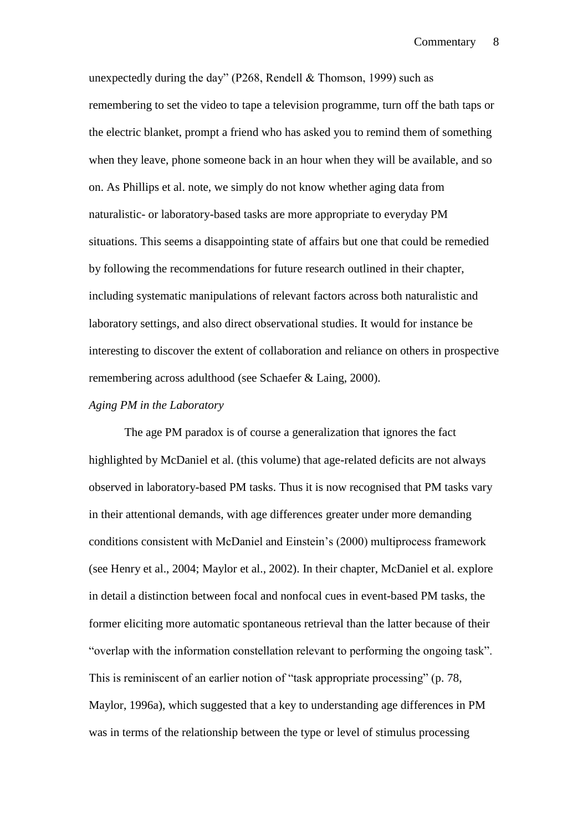unexpectedly during the day" (P268, Rendell & Thomson, 1999) such as remembering to set the video to tape a television programme, turn off the bath taps or the electric blanket, prompt a friend who has asked you to remind them of something when they leave, phone someone back in an hour when they will be available, and so on. As Phillips et al. note, we simply do not know whether aging data from naturalistic- or laboratory-based tasks are more appropriate to everyday PM situations. This seems a disappointing state of affairs but one that could be remedied by following the recommendations for future research outlined in their chapter, including systematic manipulations of relevant factors across both naturalistic and laboratory settings, and also direct observational studies. It would for instance be interesting to discover the extent of collaboration and reliance on others in prospective remembering across adulthood (see Schaefer & Laing, 2000).

## *Aging PM in the Laboratory*

The age PM paradox is of course a generalization that ignores the fact highlighted by McDaniel et al. (this volume) that age-related deficits are not always observed in laboratory-based PM tasks. Thus it is now recognised that PM tasks vary in their attentional demands, with age differences greater under more demanding conditions consistent with McDaniel and Einstein"s (2000) multiprocess framework (see Henry et al., 2004; Maylor et al., 2002). In their chapter, McDaniel et al. explore in detail a distinction between focal and nonfocal cues in event-based PM tasks, the former eliciting more automatic spontaneous retrieval than the latter because of their "overlap with the information constellation relevant to performing the ongoing task". This is reminiscent of an earlier notion of "task appropriate processing" (p. 78, Maylor, 1996a), which suggested that a key to understanding age differences in PM was in terms of the relationship between the type or level of stimulus processing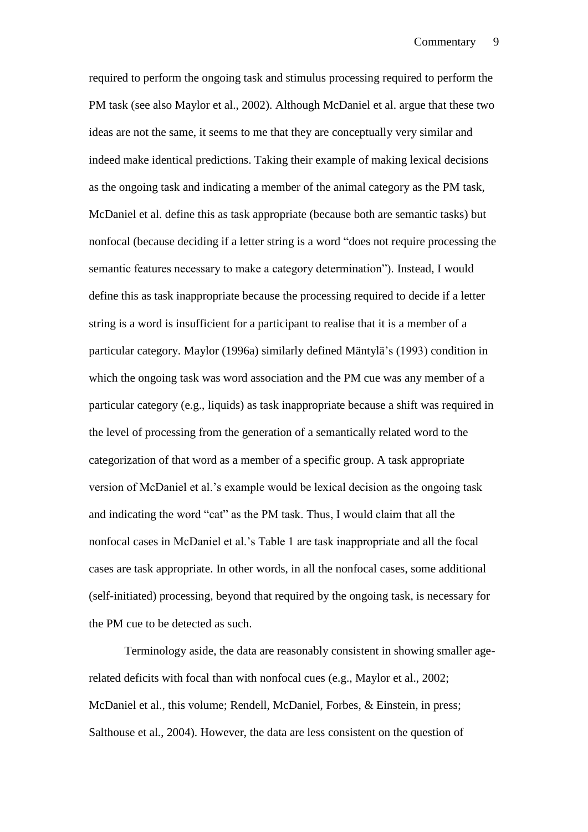required to perform the ongoing task and stimulus processing required to perform the PM task (see also Maylor et al., 2002). Although McDaniel et al. argue that these two ideas are not the same, it seems to me that they are conceptually very similar and indeed make identical predictions. Taking their example of making lexical decisions as the ongoing task and indicating a member of the animal category as the PM task, McDaniel et al. define this as task appropriate (because both are semantic tasks) but nonfocal (because deciding if a letter string is a word "does not require processing the semantic features necessary to make a category determination"). Instead, I would define this as task inappropriate because the processing required to decide if a letter string is a word is insufficient for a participant to realise that it is a member of a particular category. Maylor (1996a) similarly defined Mäntylä"s (1993) condition in which the ongoing task was word association and the PM cue was any member of a particular category (e.g., liquids) as task inappropriate because a shift was required in the level of processing from the generation of a semantically related word to the categorization of that word as a member of a specific group. A task appropriate version of McDaniel et al."s example would be lexical decision as the ongoing task and indicating the word "cat" as the PM task. Thus, I would claim that all the nonfocal cases in McDaniel et al."s Table 1 are task inappropriate and all the focal cases are task appropriate. In other words, in all the nonfocal cases, some additional (self-initiated) processing, beyond that required by the ongoing task, is necessary for the PM cue to be detected as such.

Terminology aside, the data are reasonably consistent in showing smaller agerelated deficits with focal than with nonfocal cues (e.g., Maylor et al., 2002; McDaniel et al., this volume; Rendell, McDaniel, Forbes, & Einstein, in press; Salthouse et al., 2004). However, the data are less consistent on the question of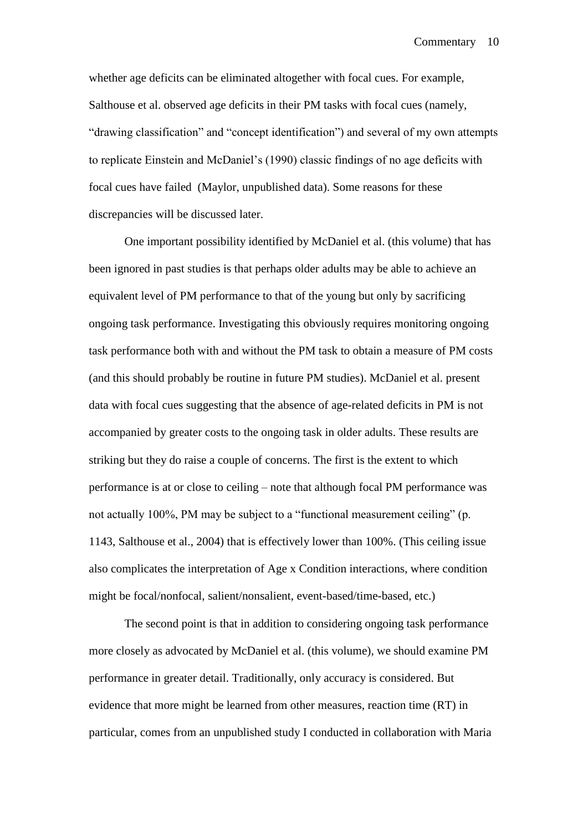whether age deficits can be eliminated altogether with focal cues. For example, Salthouse et al. observed age deficits in their PM tasks with focal cues (namely, "drawing classification" and "concept identification") and several of my own attempts to replicate Einstein and McDaniel"s (1990) classic findings of no age deficits with focal cues have failed (Maylor, unpublished data). Some reasons for these discrepancies will be discussed later.

One important possibility identified by McDaniel et al. (this volume) that has been ignored in past studies is that perhaps older adults may be able to achieve an equivalent level of PM performance to that of the young but only by sacrificing ongoing task performance. Investigating this obviously requires monitoring ongoing task performance both with and without the PM task to obtain a measure of PM costs (and this should probably be routine in future PM studies). McDaniel et al. present data with focal cues suggesting that the absence of age-related deficits in PM is not accompanied by greater costs to the ongoing task in older adults. These results are striking but they do raise a couple of concerns. The first is the extent to which performance is at or close to ceiling – note that although focal PM performance was not actually 100%, PM may be subject to a "functional measurement ceiling" (p. 1143, Salthouse et al., 2004) that is effectively lower than 100%. (This ceiling issue also complicates the interpretation of Age x Condition interactions, where condition might be focal/nonfocal, salient/nonsalient, event-based/time-based, etc.)

The second point is that in addition to considering ongoing task performance more closely as advocated by McDaniel et al. (this volume), we should examine PM performance in greater detail. Traditionally, only accuracy is considered. But evidence that more might be learned from other measures, reaction time (RT) in particular, comes from an unpublished study I conducted in collaboration with Maria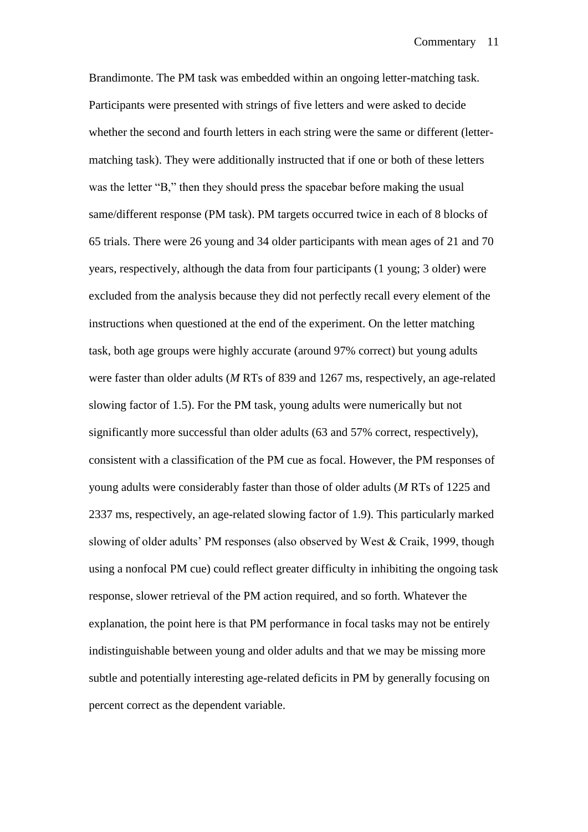Brandimonte. The PM task was embedded within an ongoing letter-matching task. Participants were presented with strings of five letters and were asked to decide whether the second and fourth letters in each string were the same or different (lettermatching task). They were additionally instructed that if one or both of these letters was the letter "B," then they should press the spacebar before making the usual same/different response (PM task). PM targets occurred twice in each of 8 blocks of 65 trials. There were 26 young and 34 older participants with mean ages of 21 and 70 years, respectively, although the data from four participants (1 young; 3 older) were excluded from the analysis because they did not perfectly recall every element of the instructions when questioned at the end of the experiment. On the letter matching task, both age groups were highly accurate (around 97% correct) but young adults were faster than older adults (*M* RTs of 839 and 1267 ms, respectively, an age-related slowing factor of 1.5). For the PM task, young adults were numerically but not significantly more successful than older adults (63 and 57% correct, respectively), consistent with a classification of the PM cue as focal. However, the PM responses of young adults were considerably faster than those of older adults (*M* RTs of 1225 and 2337 ms, respectively, an age-related slowing factor of 1.9). This particularly marked slowing of older adults" PM responses (also observed by West & Craik, 1999, though using a nonfocal PM cue) could reflect greater difficulty in inhibiting the ongoing task response, slower retrieval of the PM action required, and so forth. Whatever the explanation, the point here is that PM performance in focal tasks may not be entirely indistinguishable between young and older adults and that we may be missing more subtle and potentially interesting age-related deficits in PM by generally focusing on percent correct as the dependent variable.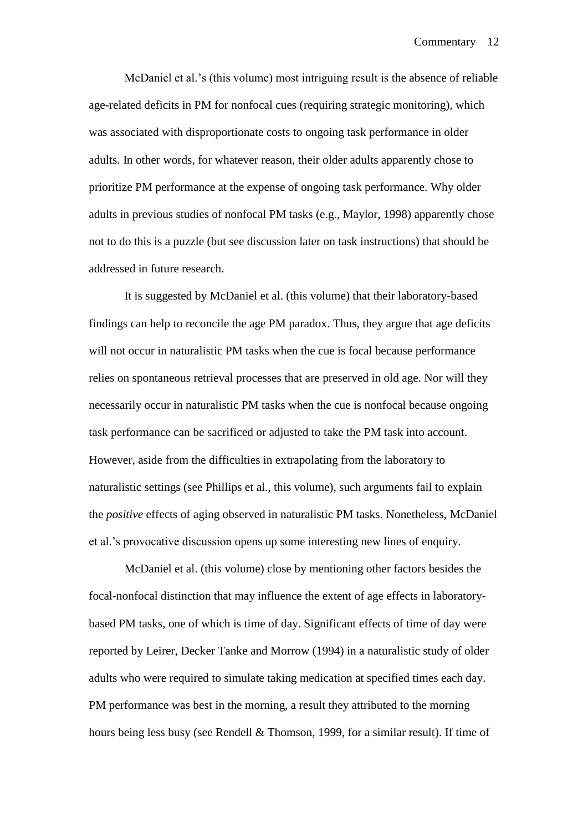McDaniel et al.'s (this volume) most intriguing result is the absence of reliable age-related deficits in PM for nonfocal cues (requiring strategic monitoring), which was associated with disproportionate costs to ongoing task performance in older adults. In other words, for whatever reason, their older adults apparently chose to prioritize PM performance at the expense of ongoing task performance. Why older adults in previous studies of nonfocal PM tasks (e.g., Maylor, 1998) apparently chose not to do this is a puzzle (but see discussion later on task instructions) that should be addressed in future research.

It is suggested by McDaniel et al. (this volume) that their laboratory-based findings can help to reconcile the age PM paradox. Thus, they argue that age deficits will not occur in naturalistic PM tasks when the cue is focal because performance relies on spontaneous retrieval processes that are preserved in old age. Nor will they necessarily occur in naturalistic PM tasks when the cue is nonfocal because ongoing task performance can be sacrificed or adjusted to take the PM task into account. However, aside from the difficulties in extrapolating from the laboratory to naturalistic settings (see Phillips et al., this volume), such arguments fail to explain the *positive* effects of aging observed in naturalistic PM tasks. Nonetheless, McDaniel et al."s provocative discussion opens up some interesting new lines of enquiry.

McDaniel et al. (this volume) close by mentioning other factors besides the focal-nonfocal distinction that may influence the extent of age effects in laboratorybased PM tasks, one of which is time of day. Significant effects of time of day were reported by Leirer, Decker Tanke and Morrow (1994) in a naturalistic study of older adults who were required to simulate taking medication at specified times each day. PM performance was best in the morning, a result they attributed to the morning hours being less busy (see Rendell & Thomson, 1999, for a similar result). If time of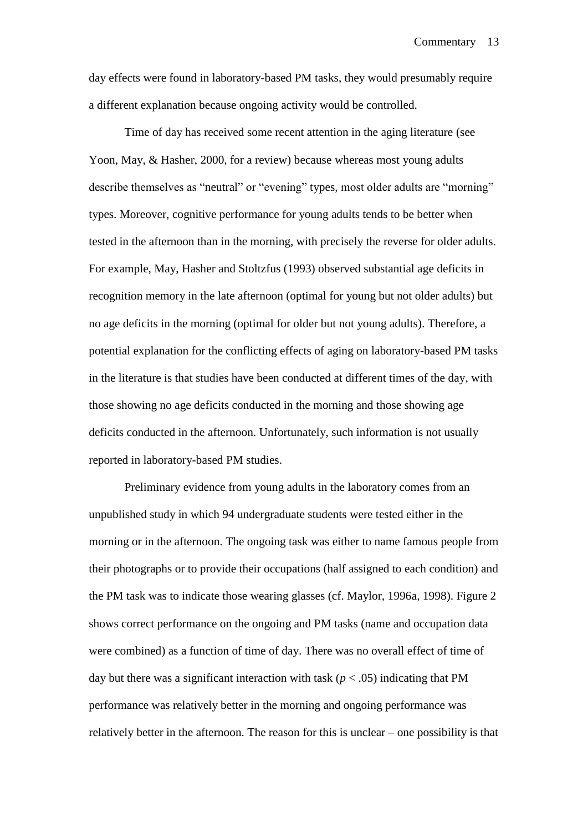day effects were found in laboratory-based PM tasks, they would presumably require a different explanation because ongoing activity would be controlled.

Time of day has received some recent attention in the aging literature (see Yoon, May, & Hasher, 2000, for a review) because whereas most young adults describe themselves as "neutral" or "evening" types, most older adults are "morning" types. Moreover, cognitive performance for young adults tends to be better when tested in the afternoon than in the morning, with precisely the reverse for older adults. For example, May, Hasher and Stoltzfus (1993) observed substantial age deficits in recognition memory in the late afternoon (optimal for young but not older adults) but no age deficits in the morning (optimal for older but not young adults). Therefore, a potential explanation for the conflicting effects of aging on laboratory-based PM tasks in the literature is that studies have been conducted at different times of the day, with those showing no age deficits conducted in the morning and those showing age deficits conducted in the afternoon. Unfortunately, such information is not usually reported in laboratory-based PM studies.

Preliminary evidence from young adults in the laboratory comes from an unpublished study in which 94 undergraduate students were tested either in the morning or in the afternoon. The ongoing task was either to name famous people from their photographs or to provide their occupations (half assigned to each condition) and the PM task was to indicate those wearing glasses (cf. Maylor, 1996a, 1998). Figure 2 shows correct performance on the ongoing and PM tasks (name and occupation data were combined) as a function of time of day. There was no overall effect of time of day but there was a significant interaction with task ( $p < .05$ ) indicating that PM performance was relatively better in the morning and ongoing performance was relatively better in the afternoon. The reason for this is unclear – one possibility is that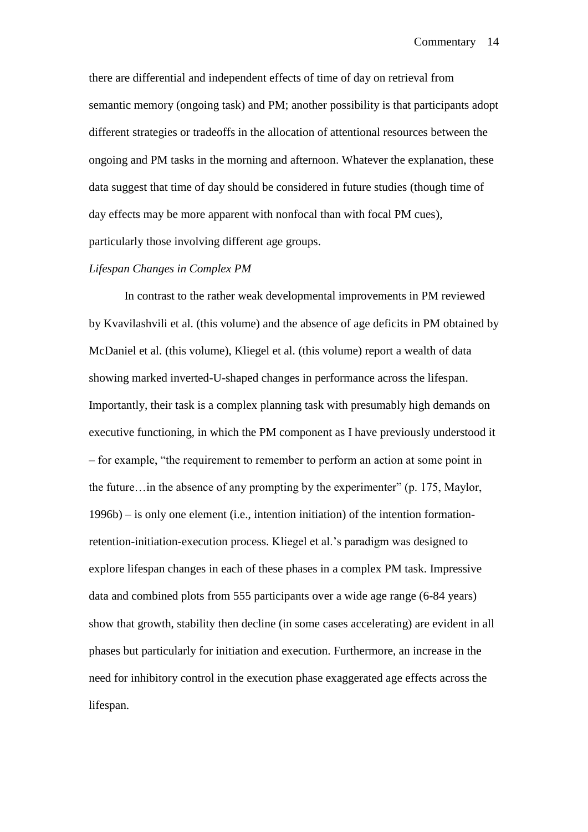there are differential and independent effects of time of day on retrieval from semantic memory (ongoing task) and PM; another possibility is that participants adopt different strategies or tradeoffs in the allocation of attentional resources between the ongoing and PM tasks in the morning and afternoon. Whatever the explanation, these data suggest that time of day should be considered in future studies (though time of day effects may be more apparent with nonfocal than with focal PM cues), particularly those involving different age groups.

### *Lifespan Changes in Complex PM*

In contrast to the rather weak developmental improvements in PM reviewed by Kvavilashvili et al. (this volume) and the absence of age deficits in PM obtained by McDaniel et al. (this volume), Kliegel et al. (this volume) report a wealth of data showing marked inverted-U-shaped changes in performance across the lifespan. Importantly, their task is a complex planning task with presumably high demands on executive functioning, in which the PM component as I have previously understood it – for example, "the requirement to remember to perform an action at some point in the future…in the absence of any prompting by the experimenter" (p. 175, Maylor, 1996b) – is only one element (i.e., intention initiation) of the intention formationretention-initiation-execution process. Kliegel et al."s paradigm was designed to explore lifespan changes in each of these phases in a complex PM task. Impressive data and combined plots from 555 participants over a wide age range (6-84 years) show that growth, stability then decline (in some cases accelerating) are evident in all phases but particularly for initiation and execution. Furthermore, an increase in the need for inhibitory control in the execution phase exaggerated age effects across the lifespan.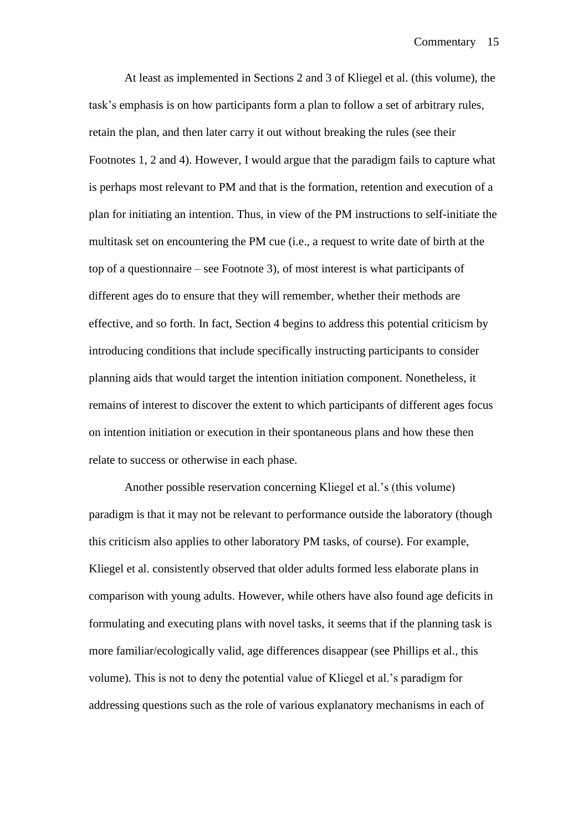At least as implemented in Sections 2 and 3 of Kliegel et al. (this volume), the task"s emphasis is on how participants form a plan to follow a set of arbitrary rules, retain the plan, and then later carry it out without breaking the rules (see their Footnotes 1, 2 and 4). However, I would argue that the paradigm fails to capture what is perhaps most relevant to PM and that is the formation, retention and execution of a plan for initiating an intention. Thus, in view of the PM instructions to self-initiate the multitask set on encountering the PM cue (i.e., a request to write date of birth at the top of a questionnaire – see Footnote 3), of most interest is what participants of different ages do to ensure that they will remember, whether their methods are effective, and so forth. In fact, Section 4 begins to address this potential criticism by introducing conditions that include specifically instructing participants to consider planning aids that would target the intention initiation component. Nonetheless, it remains of interest to discover the extent to which participants of different ages focus on intention initiation or execution in their spontaneous plans and how these then relate to success or otherwise in each phase.

Another possible reservation concerning Kliegel et al."s (this volume) paradigm is that it may not be relevant to performance outside the laboratory (though this criticism also applies to other laboratory PM tasks, of course). For example, Kliegel et al. consistently observed that older adults formed less elaborate plans in comparison with young adults. However, while others have also found age deficits in formulating and executing plans with novel tasks, it seems that if the planning task is more familiar/ecologically valid, age differences disappear (see Phillips et al., this volume). This is not to deny the potential value of Kliegel et al."s paradigm for addressing questions such as the role of various explanatory mechanisms in each of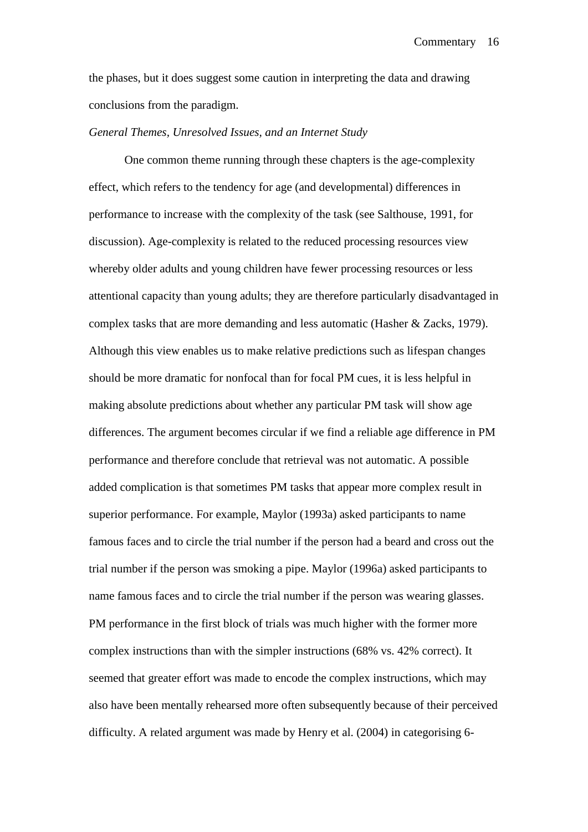the phases, but it does suggest some caution in interpreting the data and drawing conclusions from the paradigm.

### *General Themes, Unresolved Issues, and an Internet Study*

One common theme running through these chapters is the age-complexity effect, which refers to the tendency for age (and developmental) differences in performance to increase with the complexity of the task (see Salthouse, 1991, for discussion). Age-complexity is related to the reduced processing resources view whereby older adults and young children have fewer processing resources or less attentional capacity than young adults; they are therefore particularly disadvantaged in complex tasks that are more demanding and less automatic (Hasher & Zacks, 1979). Although this view enables us to make relative predictions such as lifespan changes should be more dramatic for nonfocal than for focal PM cues, it is less helpful in making absolute predictions about whether any particular PM task will show age differences. The argument becomes circular if we find a reliable age difference in PM performance and therefore conclude that retrieval was not automatic. A possible added complication is that sometimes PM tasks that appear more complex result in superior performance. For example, Maylor (1993a) asked participants to name famous faces and to circle the trial number if the person had a beard and cross out the trial number if the person was smoking a pipe. Maylor (1996a) asked participants to name famous faces and to circle the trial number if the person was wearing glasses. PM performance in the first block of trials was much higher with the former more complex instructions than with the simpler instructions (68% vs. 42% correct). It seemed that greater effort was made to encode the complex instructions, which may also have been mentally rehearsed more often subsequently because of their perceived difficulty. A related argument was made by Henry et al. (2004) in categorising 6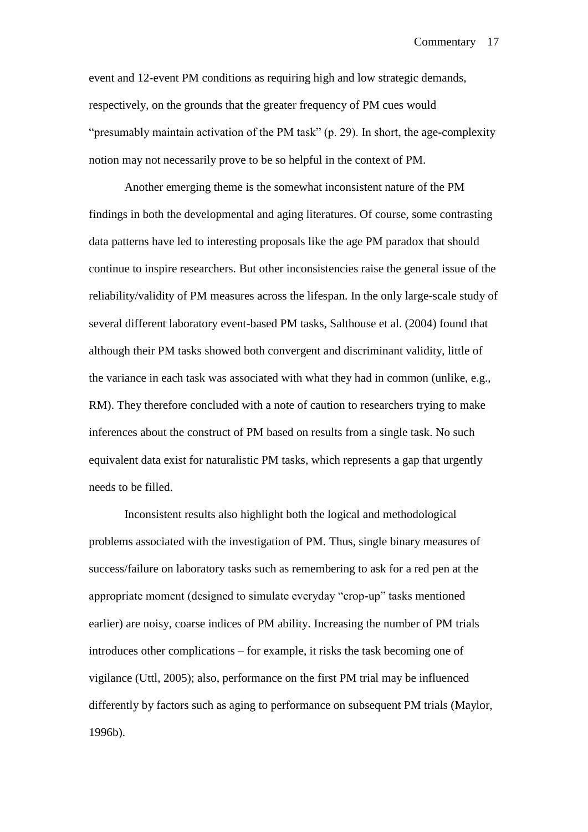event and 12-event PM conditions as requiring high and low strategic demands, respectively, on the grounds that the greater frequency of PM cues would "presumably maintain activation of the PM task" (p. 29). In short, the age-complexity notion may not necessarily prove to be so helpful in the context of PM.

Another emerging theme is the somewhat inconsistent nature of the PM findings in both the developmental and aging literatures. Of course, some contrasting data patterns have led to interesting proposals like the age PM paradox that should continue to inspire researchers. But other inconsistencies raise the general issue of the reliability/validity of PM measures across the lifespan. In the only large-scale study of several different laboratory event-based PM tasks, Salthouse et al. (2004) found that although their PM tasks showed both convergent and discriminant validity, little of the variance in each task was associated with what they had in common (unlike, e.g., RM). They therefore concluded with a note of caution to researchers trying to make inferences about the construct of PM based on results from a single task. No such equivalent data exist for naturalistic PM tasks, which represents a gap that urgently needs to be filled.

Inconsistent results also highlight both the logical and methodological problems associated with the investigation of PM. Thus, single binary measures of success/failure on laboratory tasks such as remembering to ask for a red pen at the appropriate moment (designed to simulate everyday "crop-up" tasks mentioned earlier) are noisy, coarse indices of PM ability. Increasing the number of PM trials introduces other complications – for example, it risks the task becoming one of vigilance (Uttl, 2005); also, performance on the first PM trial may be influenced differently by factors such as aging to performance on subsequent PM trials (Maylor, 1996b).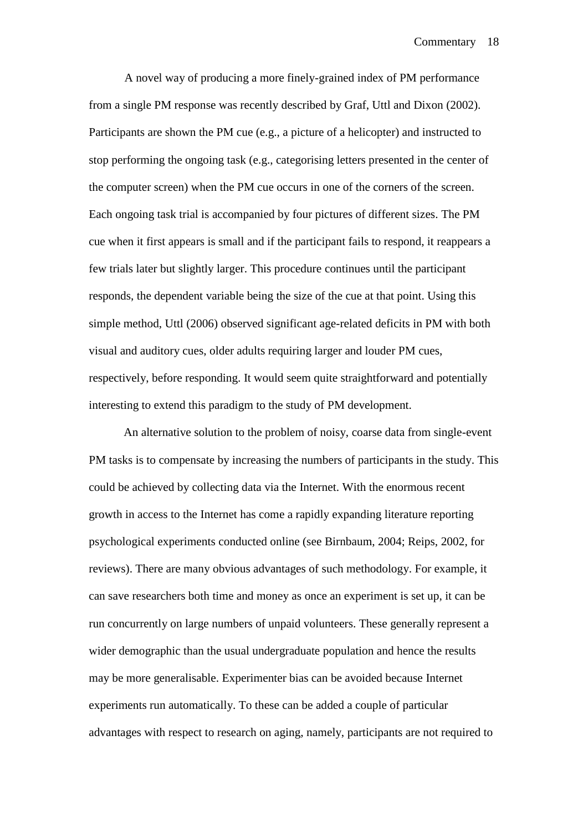A novel way of producing a more finely-grained index of PM performance from a single PM response was recently described by Graf, Uttl and Dixon (2002). Participants are shown the PM cue (e.g., a picture of a helicopter) and instructed to stop performing the ongoing task (e.g., categorising letters presented in the center of the computer screen) when the PM cue occurs in one of the corners of the screen. Each ongoing task trial is accompanied by four pictures of different sizes. The PM cue when it first appears is small and if the participant fails to respond, it reappears a few trials later but slightly larger. This procedure continues until the participant responds, the dependent variable being the size of the cue at that point. Using this simple method, Uttl (2006) observed significant age-related deficits in PM with both visual and auditory cues, older adults requiring larger and louder PM cues, respectively, before responding. It would seem quite straightforward and potentially interesting to extend this paradigm to the study of PM development.

An alternative solution to the problem of noisy, coarse data from single-event PM tasks is to compensate by increasing the numbers of participants in the study. This could be achieved by collecting data via the Internet. With the enormous recent growth in access to the Internet has come a rapidly expanding literature reporting psychological experiments conducted online (see Birnbaum, 2004; Reips, 2002, for reviews). There are many obvious advantages of such methodology. For example, it can save researchers both time and money as once an experiment is set up, it can be run concurrently on large numbers of unpaid volunteers. These generally represent a wider demographic than the usual undergraduate population and hence the results may be more generalisable. Experimenter bias can be avoided because Internet experiments run automatically. To these can be added a couple of particular advantages with respect to research on aging, namely, participants are not required to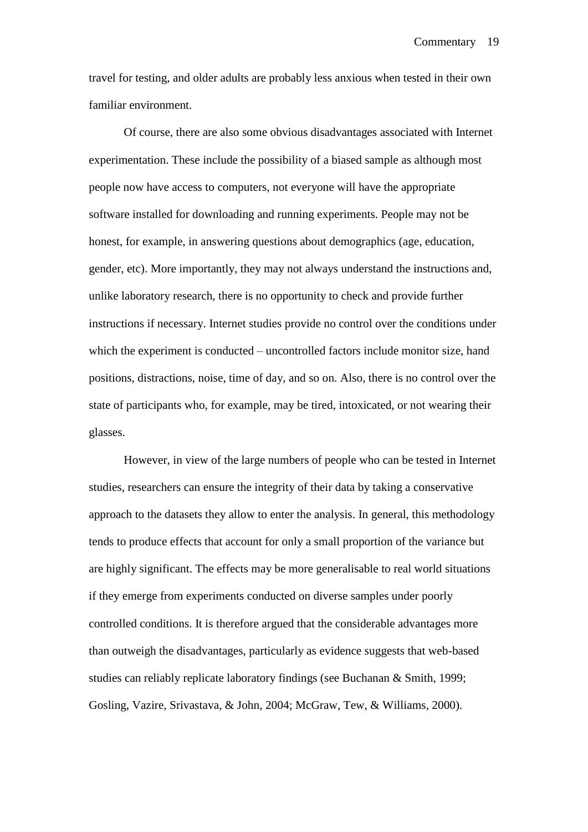travel for testing, and older adults are probably less anxious when tested in their own familiar environment.

Of course, there are also some obvious disadvantages associated with Internet experimentation. These include the possibility of a biased sample as although most people now have access to computers, not everyone will have the appropriate software installed for downloading and running experiments. People may not be honest, for example, in answering questions about demographics (age, education, gender, etc). More importantly, they may not always understand the instructions and, unlike laboratory research, there is no opportunity to check and provide further instructions if necessary. Internet studies provide no control over the conditions under which the experiment is conducted – uncontrolled factors include monitor size, hand positions, distractions, noise, time of day, and so on. Also, there is no control over the state of participants who, for example, may be tired, intoxicated, or not wearing their glasses.

However, in view of the large numbers of people who can be tested in Internet studies, researchers can ensure the integrity of their data by taking a conservative approach to the datasets they allow to enter the analysis. In general, this methodology tends to produce effects that account for only a small proportion of the variance but are highly significant. The effects may be more generalisable to real world situations if they emerge from experiments conducted on diverse samples under poorly controlled conditions. It is therefore argued that the considerable advantages more than outweigh the disadvantages, particularly as evidence suggests that web-based studies can reliably replicate laboratory findings (see Buchanan & Smith, 1999; Gosling, Vazire, Srivastava, & John, 2004; McGraw, Tew, & Williams, 2000).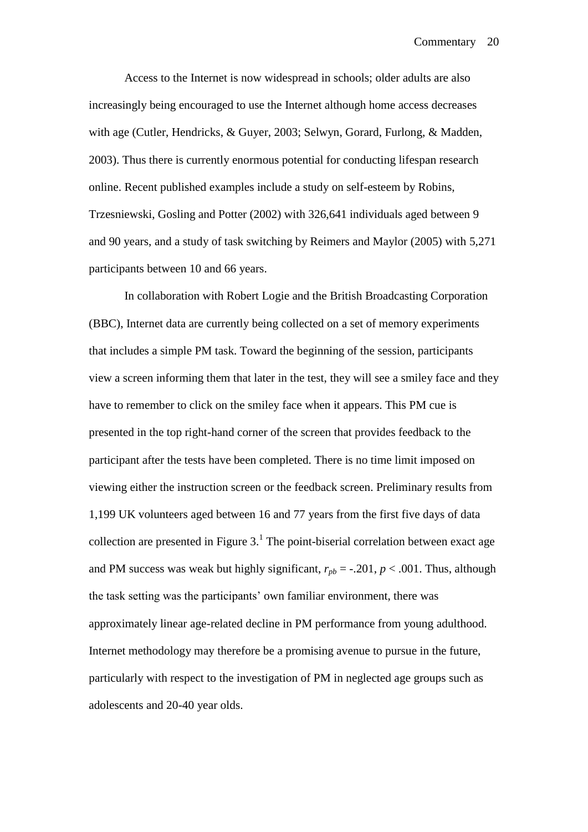Access to the Internet is now widespread in schools; older adults are also increasingly being encouraged to use the Internet although home access decreases with age (Cutler, Hendricks, & Guyer, 2003; Selwyn, Gorard, Furlong, & Madden, 2003). Thus there is currently enormous potential for conducting lifespan research online. Recent published examples include a study on self-esteem by Robins, Trzesniewski, Gosling and Potter (2002) with 326,641 individuals aged between 9 and 90 years, and a study of task switching by Reimers and Maylor (2005) with 5,271 participants between 10 and 66 years.

In collaboration with Robert Logie and the British Broadcasting Corporation (BBC), Internet data are currently being collected on a set of memory experiments that includes a simple PM task. Toward the beginning of the session, participants view a screen informing them that later in the test, they will see a smiley face and they have to remember to click on the smiley face when it appears. This PM cue is presented in the top right-hand corner of the screen that provides feedback to the participant after the tests have been completed. There is no time limit imposed on viewing either the instruction screen or the feedback screen. Preliminary results from 1,199 UK volunteers aged between 16 and 77 years from the first five days of data collection are presented in Figure  $3<sup>1</sup>$ . The point-biserial correlation between exact age and PM success was weak but highly significant,  $r_{pb} = -.201$ ,  $p < .001$ . Thus, although the task setting was the participants" own familiar environment, there was approximately linear age-related decline in PM performance from young adulthood. Internet methodology may therefore be a promising avenue to pursue in the future, particularly with respect to the investigation of PM in neglected age groups such as adolescents and 20-40 year olds.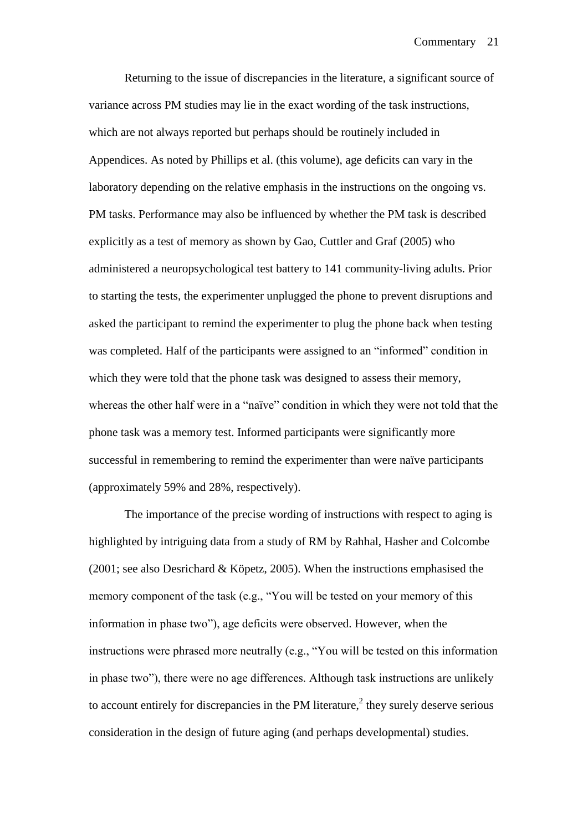Returning to the issue of discrepancies in the literature, a significant source of variance across PM studies may lie in the exact wording of the task instructions, which are not always reported but perhaps should be routinely included in Appendices. As noted by Phillips et al. (this volume), age deficits can vary in the laboratory depending on the relative emphasis in the instructions on the ongoing vs. PM tasks. Performance may also be influenced by whether the PM task is described explicitly as a test of memory as shown by Gao, Cuttler and Graf (2005) who administered a neuropsychological test battery to 141 community-living adults. Prior to starting the tests, the experimenter unplugged the phone to prevent disruptions and asked the participant to remind the experimenter to plug the phone back when testing was completed. Half of the participants were assigned to an "informed" condition in which they were told that the phone task was designed to assess their memory, whereas the other half were in a "naïve" condition in which they were not told that the phone task was a memory test. Informed participants were significantly more successful in remembering to remind the experimenter than were naïve participants (approximately 59% and 28%, respectively).

The importance of the precise wording of instructions with respect to aging is highlighted by intriguing data from a study of RM by Rahhal, Hasher and Colcombe (2001; see also Desrichard & Köpetz, 2005). When the instructions emphasised the memory component of the task (e.g., "You will be tested on your memory of this information in phase two"), age deficits were observed. However, when the instructions were phrased more neutrally (e.g., "You will be tested on this information in phase two"), there were no age differences. Although task instructions are unlikely to account entirely for discrepancies in the PM literature,<sup>2</sup> they surely deserve serious consideration in the design of future aging (and perhaps developmental) studies.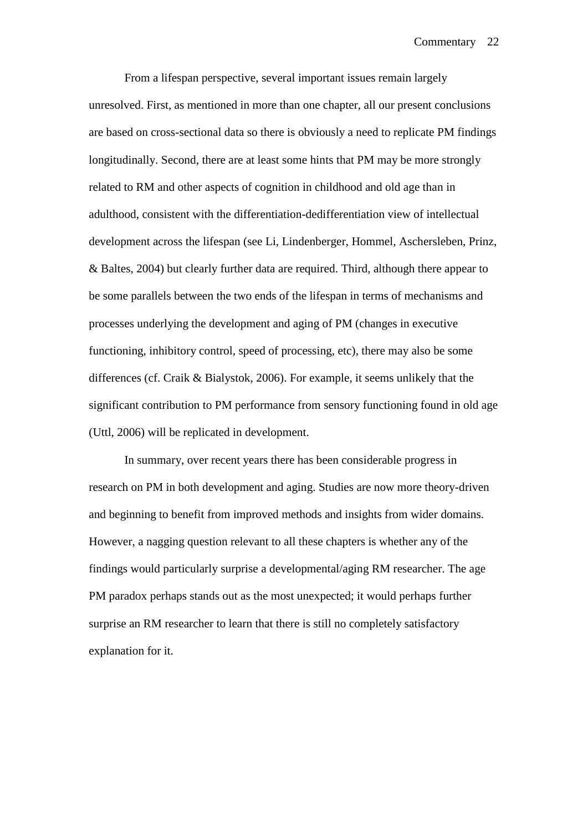From a lifespan perspective, several important issues remain largely unresolved. First, as mentioned in more than one chapter, all our present conclusions are based on cross-sectional data so there is obviously a need to replicate PM findings longitudinally. Second, there are at least some hints that PM may be more strongly related to RM and other aspects of cognition in childhood and old age than in adulthood, consistent with the differentiation-dedifferentiation view of intellectual development across the lifespan (see Li, Lindenberger, Hommel, Aschersleben, Prinz, & Baltes, 2004) but clearly further data are required. Third, although there appear to be some parallels between the two ends of the lifespan in terms of mechanisms and processes underlying the development and aging of PM (changes in executive functioning, inhibitory control, speed of processing, etc), there may also be some differences (cf. Craik & Bialystok, 2006). For example, it seems unlikely that the significant contribution to PM performance from sensory functioning found in old age (Uttl, 2006) will be replicated in development.

In summary, over recent years there has been considerable progress in research on PM in both development and aging. Studies are now more theory-driven and beginning to benefit from improved methods and insights from wider domains. However, a nagging question relevant to all these chapters is whether any of the findings would particularly surprise a developmental/aging RM researcher. The age PM paradox perhaps stands out as the most unexpected; it would perhaps further surprise an RM researcher to learn that there is still no completely satisfactory explanation for it.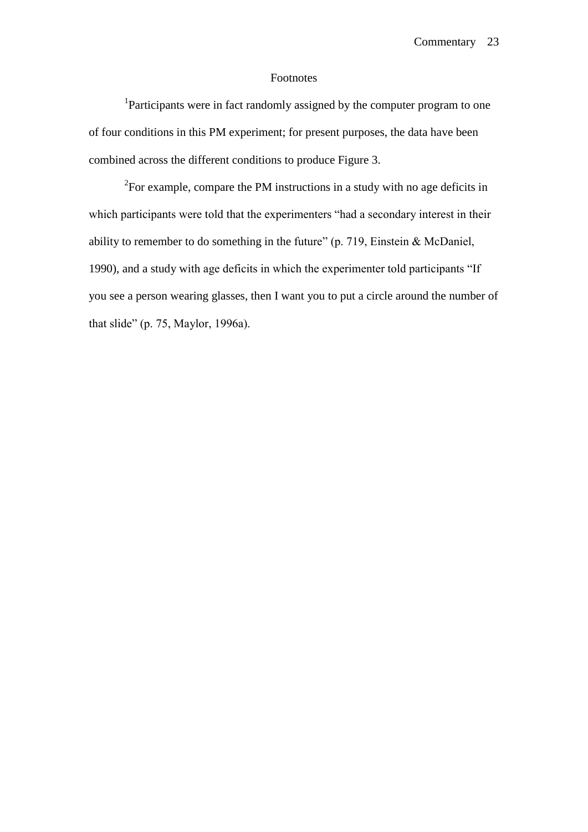### Footnotes

<sup>1</sup>Participants were in fact randomly assigned by the computer program to one of four conditions in this PM experiment; for present purposes, the data have been combined across the different conditions to produce Figure 3.

 $2$ For example, compare the PM instructions in a study with no age deficits in which participants were told that the experimenters "had a secondary interest in their ability to remember to do something in the future" (p. 719, Einstein & McDaniel, 1990), and a study with age deficits in which the experimenter told participants "If you see a person wearing glasses, then I want you to put a circle around the number of that slide" (p. 75, Maylor, 1996a).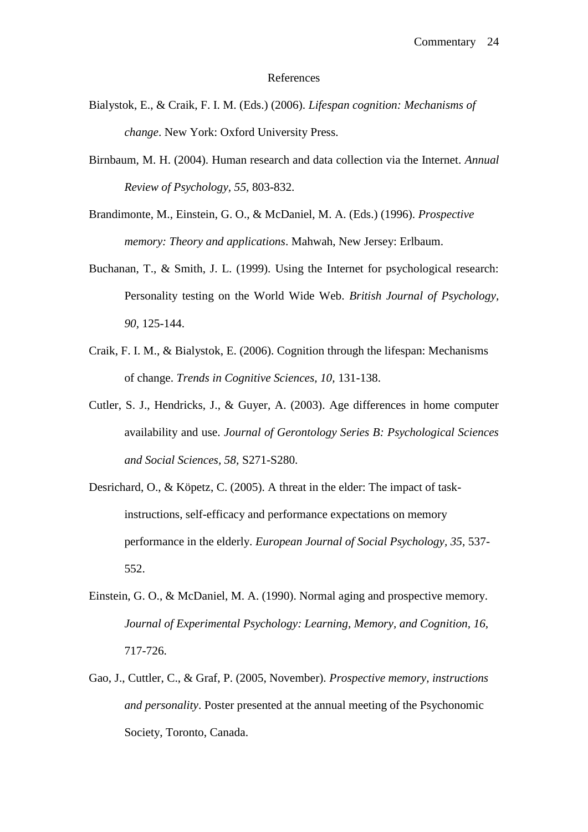#### References

- Bialystok, E., & Craik, F. I. M. (Eds.) (2006). *Lifespan cognition: Mechanisms of change*. New York: Oxford University Press.
- Birnbaum, M. H. (2004). Human research and data collection via the Internet. *Annual Review of Psychology, 55,* 803-832.
- Brandimonte, M., Einstein, G. O., & McDaniel, M. A. (Eds.) (1996). *Prospective memory: Theory and applications*. Mahwah, New Jersey: Erlbaum.
- Buchanan, T., & Smith, J. L. (1999). Using the Internet for psychological research: Personality testing on the World Wide Web. *British Journal of Psychology, 90,* 125-144.
- Craik, F. I. M., & Bialystok, E. (2006). Cognition through the lifespan: Mechanisms of change. *Trends in Cognitive Sciences, 10,* 131-138.
- Cutler, S. J., Hendricks, J., & Guyer, A. (2003). Age differences in home computer availability and use. *Journal of Gerontology Series B: Psychological Sciences and Social Sciences, 58,* S271-S280.
- Desrichard, O., & Köpetz, C. (2005). A threat in the elder: The impact of taskinstructions, self-efficacy and performance expectations on memory performance in the elderly. *European Journal of Social Psychology, 35,* 537- 552.
- Einstein, G. O., & McDaniel, M. A. (1990). Normal aging and prospective memory. *Journal of Experimental Psychology: Learning, Memory, and Cognition, 16,* 717-726.
- Gao, J., Cuttler, C., & Graf, P. (2005, November). *Prospective memory, instructions and personality*. Poster presented at the annual meeting of the Psychonomic Society, Toronto, Canada.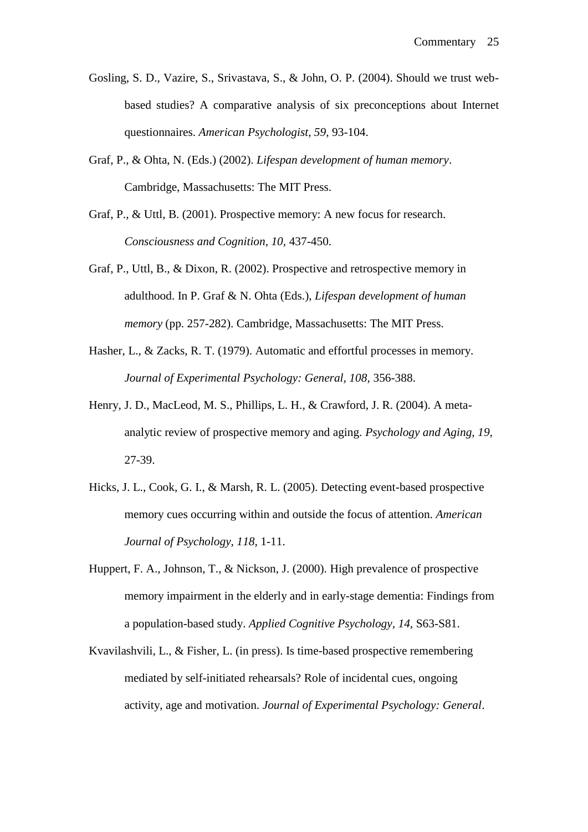- Gosling, S. D., Vazire, S., Srivastava, S., & John, O. P. (2004). Should we trust webbased studies? A comparative analysis of six preconceptions about Internet questionnaires. *American Psychologist, 59,* 93-104.
- Graf, P., & Ohta, N. (Eds.) (2002). *Lifespan development of human memory*. Cambridge, Massachusetts: The MIT Press.
- Graf, P., & Uttl, B. (2001). Prospective memory: A new focus for research. *Consciousness and Cognition, 10,* 437-450.
- Graf, P., Uttl, B., & Dixon, R. (2002). Prospective and retrospective memory in adulthood. In P. Graf & N. Ohta (Eds.), *Lifespan development of human memory* (pp. 257-282). Cambridge, Massachusetts: The MIT Press.
- Hasher, L., & Zacks, R. T. (1979). Automatic and effortful processes in memory. *Journal of Experimental Psychology: General, 108,* 356-388.
- Henry, J. D., MacLeod, M. S., Phillips, L. H., & Crawford, J. R. (2004). A metaanalytic review of prospective memory and aging. *Psychology and Aging, 19,* 27-39.
- Hicks, J. L., Cook, G. I., & Marsh, R. L. (2005). Detecting event-based prospective memory cues occurring within and outside the focus of attention. *American Journal of Psychology, 118,* 1-11.
- Huppert, F. A., Johnson, T., & Nickson, J. (2000). High prevalence of prospective memory impairment in the elderly and in early-stage dementia: Findings from a population-based study. *Applied Cognitive Psychology, 14,* S63-S81.
- Kvavilashvili, L., & Fisher, L. (in press). Is time-based prospective remembering mediated by self-initiated rehearsals? Role of incidental cues, ongoing activity, age and motivation. *Journal of Experimental Psychology: General*.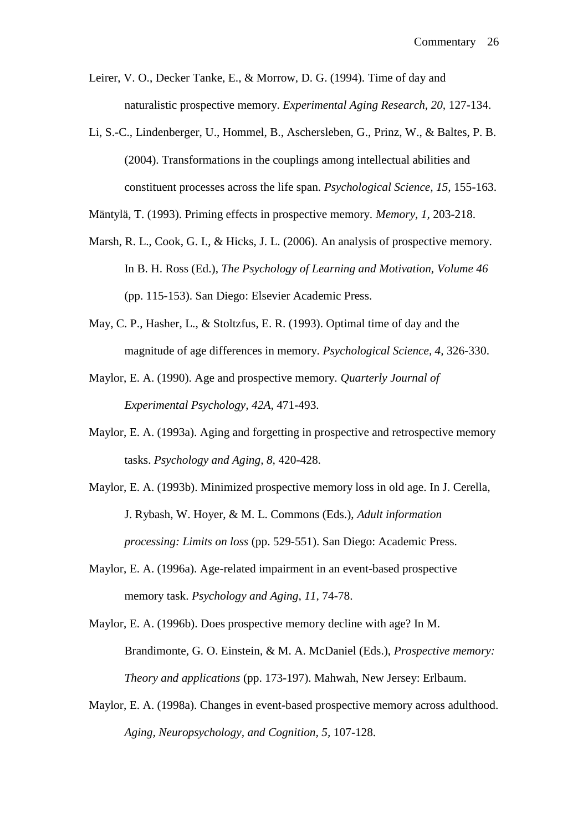- Leirer, V. O., Decker Tanke, E., & Morrow, D. G. (1994). Time of day and naturalistic prospective memory. *Experimental Aging Research, 20,* 127-134.
- Li, S.-C., Lindenberger, U., Hommel, B., Aschersleben, G., Prinz, W., & Baltes, P. B. (2004). Transformations in the couplings among intellectual abilities and constituent processes across the life span. *Psychological Science, 15,* 155-163.

Mäntylä, T. (1993). Priming effects in prospective memory. *Memory, 1,* 203-218.

- Marsh, R. L., Cook, G. I., & Hicks, J. L. (2006). An analysis of prospective memory. In B. H. Ross (Ed.), *The Psychology of Learning and Motivation, Volume 46* (pp. 115-153). San Diego: Elsevier Academic Press.
- May, C. P., Hasher, L., & Stoltzfus, E. R. (1993). Optimal time of day and the magnitude of age differences in memory. *Psychological Science, 4,* 326-330.
- Maylor, E. A. (1990). Age and prospective memory. *Quarterly Journal of Experimental Psychology, 42A,* 471-493.
- Maylor, E. A. (1993a). Aging and forgetting in prospective and retrospective memory tasks. *Psychology and Aging, 8,* 420-428.
- Maylor, E. A. (1993b). Minimized prospective memory loss in old age. In J. Cerella, J. Rybash, W. Hoyer, & M. L. Commons (Eds.), *Adult information processing: Limits on loss* (pp. 529-551). San Diego: Academic Press.
- Maylor, E. A. (1996a). Age-related impairment in an event-based prospective memory task. *Psychology and Aging, 11,* 74-78.
- Maylor, E. A. (1996b). Does prospective memory decline with age? In M. Brandimonte, G. O. Einstein, & M. A. McDaniel (Eds.), *Prospective memory: Theory and applications* (pp. 173-197). Mahwah, New Jersey: Erlbaum.
- Maylor, E. A. (1998a). Changes in event-based prospective memory across adulthood. *Aging, Neuropsychology, and Cognition, 5,* 107-128.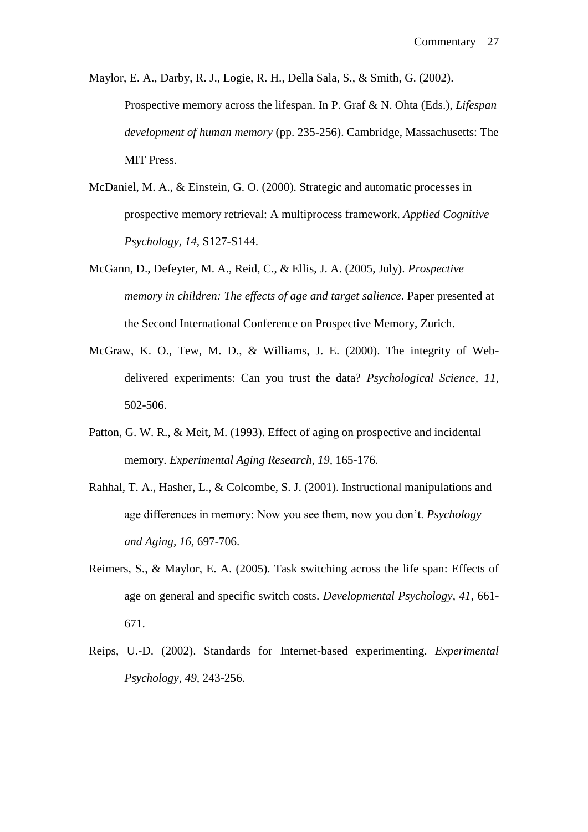Maylor, E. A., Darby, R. J., Logie, R. H., Della Sala, S., & Smith, G. (2002). Prospective memory across the lifespan. In P. Graf & N. Ohta (Eds.), *Lifespan development of human memory* (pp. 235-256). Cambridge, Massachusetts: The MIT Press.

- McDaniel, M. A., & Einstein, G. O. (2000). Strategic and automatic processes in prospective memory retrieval: A multiprocess framework. *Applied Cognitive Psychology, 14,* S127-S144.
- McGann, D., Defeyter, M. A., Reid, C., & Ellis, J. A. (2005, July). *Prospective memory in children: The effects of age and target salience*. Paper presented at the Second International Conference on Prospective Memory, Zurich.
- McGraw, K. O., Tew, M. D., & Williams, J. E. (2000). The integrity of Webdelivered experiments: Can you trust the data? *Psychological Science, 11,* 502-506.
- Patton, G. W. R., & Meit, M. (1993). Effect of aging on prospective and incidental memory. *Experimental Aging Research, 19,* 165-176.
- Rahhal, T. A., Hasher, L., & Colcombe, S. J. (2001). Instructional manipulations and age differences in memory: Now you see them, now you don"t. *Psychology and Aging, 16,* 697-706.
- Reimers, S., & Maylor, E. A. (2005). Task switching across the life span: Effects of age on general and specific switch costs. *Developmental Psychology, 41,* 661- 671.
- Reips, U.-D. (2002). Standards for Internet-based experimenting. *Experimental Psychology, 49,* 243-256.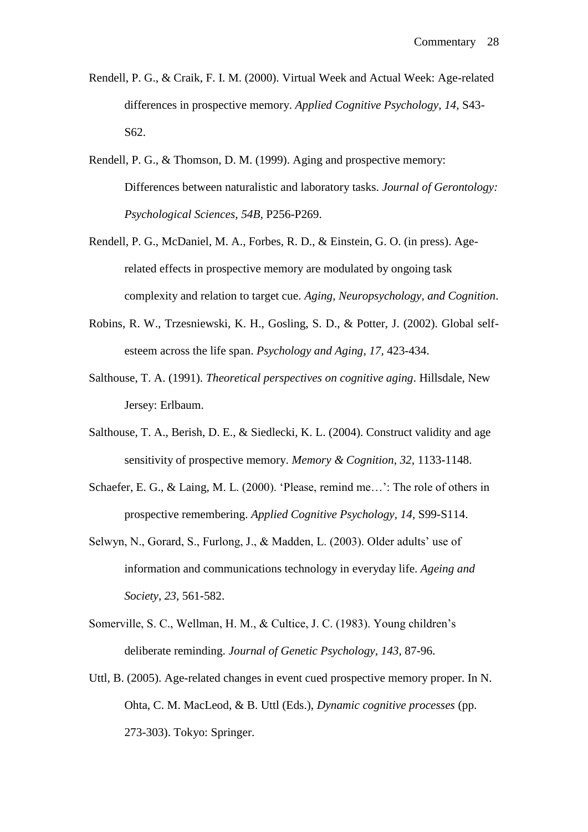- Rendell, P. G., & Craik, F. I. M. (2000). Virtual Week and Actual Week: Age-related differences in prospective memory. *Applied Cognitive Psychology, 14,* S43- S62.
- Rendell, P. G., & Thomson, D. M. (1999). Aging and prospective memory: Differences between naturalistic and laboratory tasks. *Journal of Gerontology: Psychological Sciences, 54B,* P256-P269.
- Rendell, P. G., McDaniel, M. A., Forbes, R. D., & Einstein, G. O. (in press). Agerelated effects in prospective memory are modulated by ongoing task complexity and relation to target cue. *Aging, Neuropsychology, and Cognition*.
- Robins, R. W., Trzesniewski, K. H., Gosling, S. D., & Potter, J. (2002). Global selfesteem across the life span. *Psychology and Aging, 17,* 423-434.
- Salthouse, T. A. (1991). *Theoretical perspectives on cognitive aging*. Hillsdale, New Jersey: Erlbaum.
- Salthouse, T. A., Berish, D. E., & Siedlecki, K. L. (2004). Construct validity and age sensitivity of prospective memory. *Memory & Cognition, 32,* 1133-1148.
- Schaefer, E. G., & Laing, M. L. (2000). 'Please, remind me...': The role of others in prospective remembering. *Applied Cognitive Psychology, 14,* S99-S114.
- Selwyn, N., Gorard, S., Furlong, J., & Madden, L. (2003). Older adults' use of information and communications technology in everyday life. *Ageing and Society, 23,* 561-582.
- Somerville, S. C., Wellman, H. M., & Cultice, J. C. (1983). Young children"s deliberate reminding. *Journal of Genetic Psychology, 143,* 87-96.
- Uttl, B. (2005). Age-related changes in event cued prospective memory proper. In N. Ohta, C. M. MacLeod, & B. Uttl (Eds.), *Dynamic cognitive processes* (pp. 273-303). Tokyo: Springer.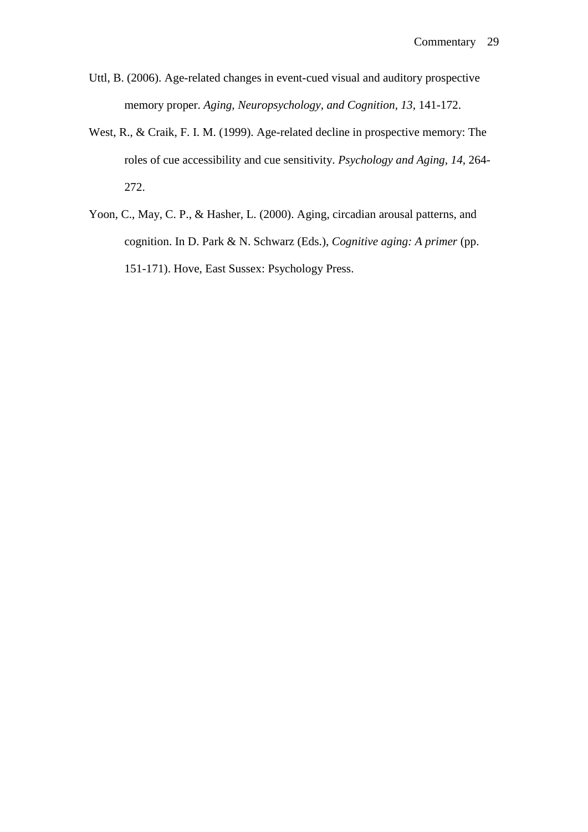- Uttl, B. (2006). Age-related changes in event-cued visual and auditory prospective memory proper. *Aging, Neuropsychology, and Cognition, 13,* 141-172.
- West, R., & Craik, F. I. M. (1999). Age-related decline in prospective memory: The roles of cue accessibility and cue sensitivity. *Psychology and Aging, 14,* 264- 272.
- Yoon, C., May, C. P., & Hasher, L. (2000). Aging, circadian arousal patterns, and cognition. In D. Park & N. Schwarz (Eds.), *Cognitive aging: A primer* (pp. 151-171). Hove, East Sussex: Psychology Press.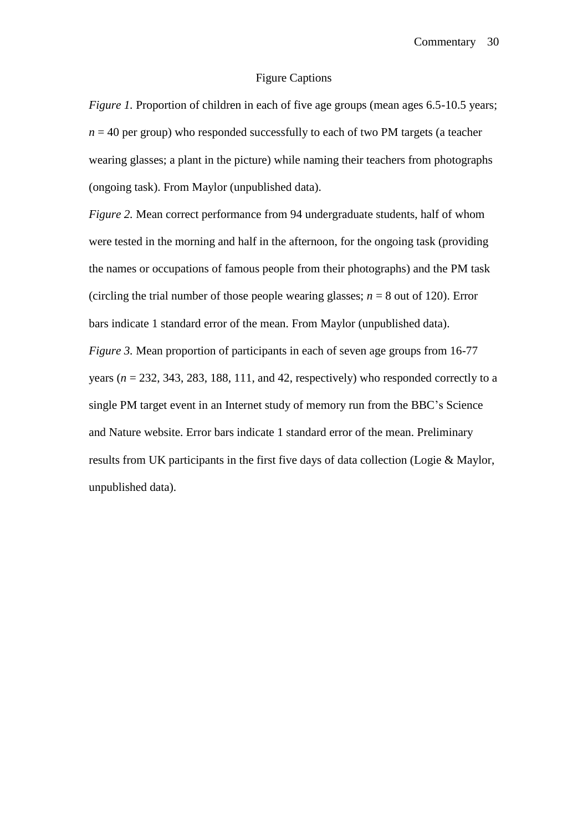### Figure Captions

*Figure 1.* Proportion of children in each of five age groups (mean ages 6.5-10.5 years;  $n = 40$  per group) who responded successfully to each of two PM targets (a teacher wearing glasses; a plant in the picture) while naming their teachers from photographs (ongoing task). From Maylor (unpublished data).

*Figure 2.* Mean correct performance from 94 undergraduate students, half of whom were tested in the morning and half in the afternoon, for the ongoing task (providing the names or occupations of famous people from their photographs) and the PM task (circling the trial number of those people wearing glasses;  $n = 8$  out of 120). Error bars indicate 1 standard error of the mean. From Maylor (unpublished data). *Figure 3.* Mean proportion of participants in each of seven age groups from 16-77 years ( $n = 232, 343, 283, 188, 111,$  and 42, respectively) who responded correctly to a single PM target event in an Internet study of memory run from the BBC"s Science and Nature website. Error bars indicate 1 standard error of the mean. Preliminary results from UK participants in the first five days of data collection (Logie & Maylor, unpublished data).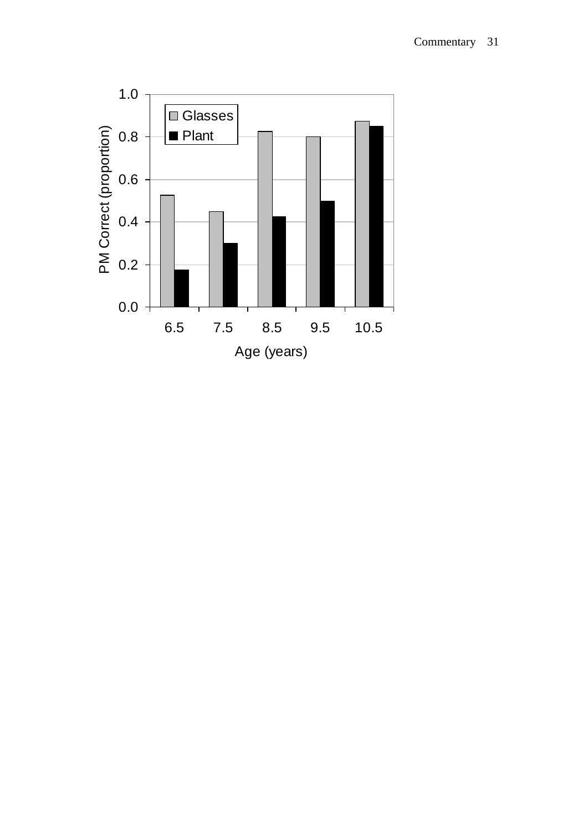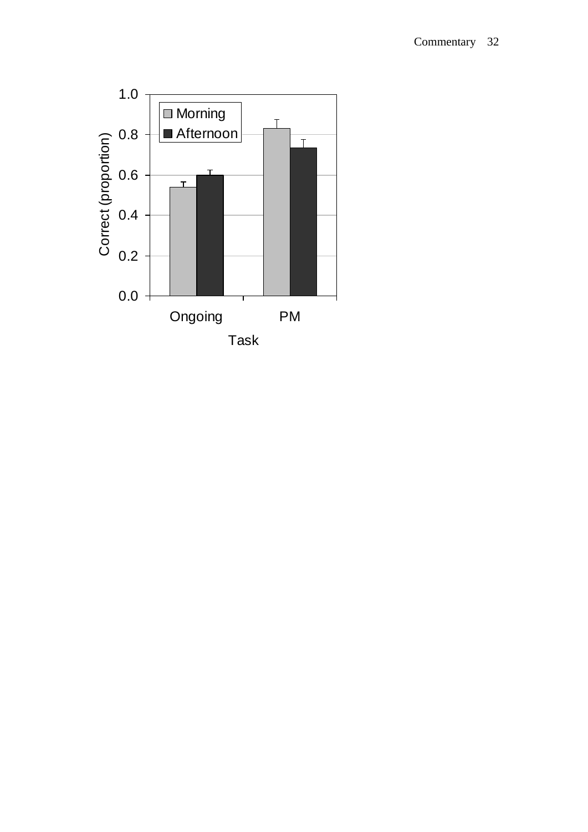